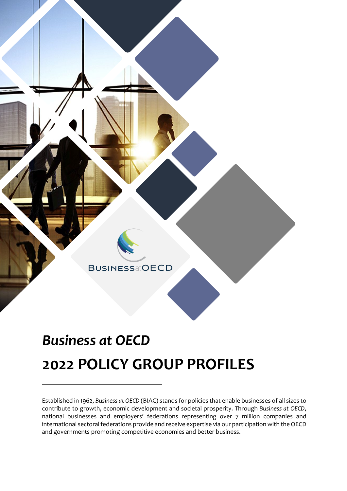

# *Business at OECD*  **2022 POLICY GROUP PROFILES**

Established in 1962, *Business at OECD* (BIAC) stands for policies that enable businesses of all sizes to contribute to growth, economic development and societal prosperity. Through *Business at OECD*, national businesses and employers' federations representing over 7 million companies and international sectoral federations provide and receive expertise via our participation with the OECD and governments promoting competitive economies and better business.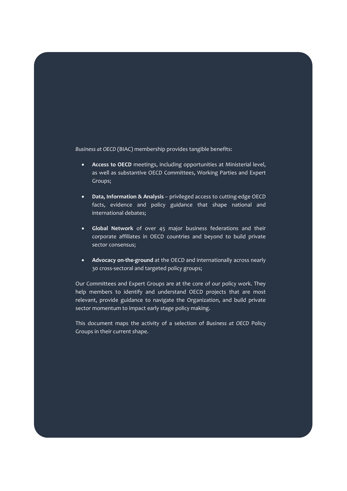*Business at OECD* (BIAC) membership provides tangible benefits:

- **Access to OECD** meetings, including opportunities at Ministerial level, as well as substantive OECD Committees, Working Parties and Expert Groups;
- **Data, Information & Analysis** privileged access to cutting-edge OECD facts, evidence and policy guidance that shape national and international debates;
- **Global Network** of over 45 major business federations and their corporate affiliates in OECD countries and beyond to build private sector consensus;
- **Advocacy on-the-ground** at the OECD and internationally across nearly 30 cross-sectoral and targeted policy groups;

Our Committees and Expert Groups are at the core of our policy work. They help members to identify and understand OECD projects that are most relevant, provide guidance to navigate the Organization, and build private sector momentum to impact early stage policy making.

This document maps the activity of a selection of *Business at OECD* Policy Groups in their current shape.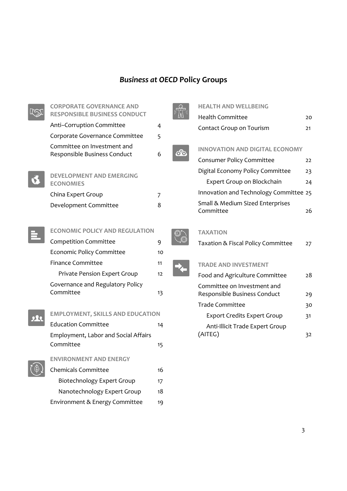# *Business at OECD* **Policy Groups**

| <b>CORPORATE GOVERNANCE AND</b>                     |                |                 | <b>HEALTH AND WELLBEING</b>                          |
|-----------------------------------------------------|----------------|-----------------|------------------------------------------------------|
| <b>RESPONSIBLE BUSINESS CONDUCT</b>                 |                |                 | <b>Health Committee</b>                              |
| Anti-Corruption Committee                           | $\overline{4}$ |                 | Contact Group on Tourism                             |
| Corporate Governance Committee                      | 5              |                 |                                                      |
| Committee on Investment and                         |                | $\circ$ $\circ$ | <b>INNOVATION AND DIGITAL</b>                        |
| Responsible Business Conduct                        | 6              |                 | Consumer Policy Committe                             |
|                                                     |                |                 | Digital Economy Policy Cor                           |
| <b>DEVELOPMENT AND EMERGING</b><br><b>ECONOMIES</b> |                |                 | <b>Expert Group on Blockc</b>                        |
| China Expert Group                                  | $\overline{7}$ |                 | Innovation and Technology                            |
| Development Committee                               | 8              |                 | Small & Medium Sized Ente<br>Committee               |
| <b>ECONOMIC POLICY AND REGULATION</b>               |                |                 | <b>TAXATION</b>                                      |
| <b>Competition Committee</b>                        | 9              |                 | Taxation & Fiscal Policy Co                          |
| <b>Economic Policy Committee</b>                    | 10             |                 |                                                      |
| <b>Finance Committee</b>                            | 11             |                 | <b>TRADE AND INVESTMENT</b>                          |
| Private Pension Expert Group                        | 12             |                 | Food and Agriculture Comi                            |
| Governance and Regulatory Policy<br>Committee       | 13             |                 | Committee on Investment<br>Responsible Business Cond |
|                                                     |                |                 | <b>Trade Committee</b>                               |
| <b>EMPLOYMENT, SKILLS AND EDUCATION</b>             |                |                 | <b>Export Credits Expert G</b>                       |
| <b>Education Committee</b>                          | 14             |                 | Anti-Illicit Trade Expert                            |
| Employment, Labor and Social Affairs                |                |                 | (AITEG)                                              |
| Committee                                           | 15             |                 |                                                      |
| <b>ENVIRONMENT AND ENERGY</b>                       |                |                 |                                                      |
| Chemicals Committee                                 | 16             |                 |                                                      |
| <b>Biotechnology Expert Group</b>                   | 17             |                 |                                                      |
| Nanotechnology Expert Group                         | 18             |                 |                                                      |
| Environment & Energy Committee                      | 19             |                 |                                                      |



| Innovation and Technology Committee 25 |    |
|----------------------------------------|----|
| Small & Medium Sized Enterprises       |    |
| Committee                              | 26 |

#### **TION**

| Taxation & Fiscal Policy Committee | 27 |
|------------------------------------|----|
|------------------------------------|----|

### **E AND INVESTMENT**

| 28 |
|----|
| 29 |
| 30 |
| 31 |
|    |
|    |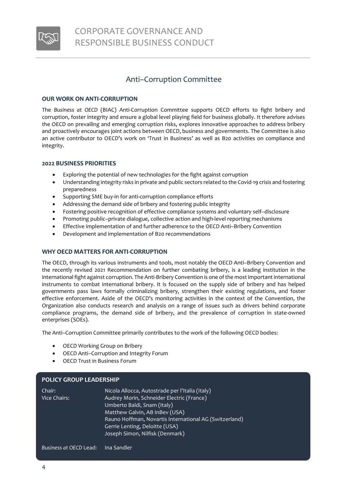

# <span id="page-3-0"></span>Anti–Corruption Committee

#### **OUR WORK ON ANTI-CORRUPTION**

The *Business at OECD* (BIAC) Anti-Corruption Committee supports OECD efforts to fight bribery and corruption, foster integrity and ensure a global level playing field for business globally. It therefore advises the OECD on prevailing and emerging corruption risks, explores innovative approaches to address bribery and proactively encourages joint actions between OECD, business and governments. The Committee is also an active contributor to OECD's work on 'Trust in Business' as well as B20 activities on compliance and integrity.

#### **2022 BUSINESS PRIORITIES**

- Exploring the potential of new technologies for the fight against corruption
- Understanding integrity risks in private and public sectors related to the Covid-19 crisis and fostering preparedness
- Supporting SME buy-in for anti-corruption compliance efforts
- Addressing the demand side of bribery and fostering public integrity
- Fostering positive recognition of effective compliance systems and voluntary self–disclosure
- Promoting public–private dialogue, collective action and high-level reporting mechanisms
- Effective implementation of and further adherence to the OECD Anti–Bribery Convention
- Development and implementation of B20 recommendations

#### **WHY OECD MATTERS FOR ANTI-CORRUPTION**

The OECD, through its various instruments and tools, most notably the OECD Anti–Bribery Convention and the recently revised 2021 Recommendation on further combating bribery, is a leading institution in the international fight against corruption. The Anti-Bribery Convention is one of the most important international instruments to combat international bribery. It is focused on the supply side of bribery and has helped governments pass laws formally criminalizing bribery, strengthen their existing regulations, and foster effective enforcement. Aside of the OECD's monitoring activities in the context of the Convention, the Organization also conducts research and analysis on a range of issues such as drivers behind corporate compliance programs, the demand side of bribery, and the prevalence of corruption in state-owned enterprises (SOEs).

The Anti–Corruption Committee primarily contributes to the work of the following OECD bodies:

- OECD Working Group on Bribery
- OECD Anti–Corruption and Integrity Forum
- OECD Trust in Business Forum

#### **POLICY GROUP LEADERSHIP**

| Chair:       | Nicola Allocca, Autostrade per l'Italia (Italy)        |
|--------------|--------------------------------------------------------|
| Vice Chairs: | Audrey Morin, Schneider Electric (France)              |
|              | Umberto Baldi, Snam (Italy)                            |
|              | Matthew Galvin, AB InBev (USA)                         |
|              | Rauno Hoffman, Novartis International AG (Switzerland) |
|              | Gerrie Lenting, Deloitte (USA)                         |
|              | Joseph Simon, Nilfisk (Denmark)                        |
|              |                                                        |
|              |                                                        |

*Business at OECD* Lead: Ina Sandler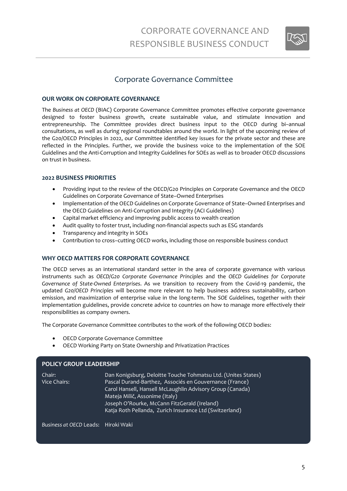

### <span id="page-4-0"></span>Corporate Governance Committee

#### **OUR WORK ON CORPORATE GOVERNANCE**

The *Business at OECD* (BIAC) Corporate Governance Committee promotes effective corporate governance designed to foster business growth, create sustainable value, and stimulate innovation and entrepreneurship. The Committee provides direct business input to the OECD during bi–annual consultations, as well as during regional roundtables around the world. In light of the upcoming review of the G20/OECD Principles in 2022, our Committee identified key issues for the private sector and these are reflected in the Principles. Further, we provide the business voice to the implementation of the SOE Guidelines and the Anti-Corruption and Integrity Guidelines for SOEs as well as to broader OECD discussions on trust in business.

#### **2022 BUSINESS PRIORITIES**

- Providing input to the review of the OECD/G20 Principles on Corporate Governance and the OECD Guidelines on Corporate Governance of State–Owned Enterprises
- Implementation of the OECD Guidelines on Corporate Governance of State–Owned Enterprises and the OECD Guidelines on Anti-Corruption and Integrity (ACI Guidelines)
- Capital market efficiency and improving public access to wealth creation
- Audit quality to foster trust, including non-financial aspects such as ESG standards
- Transparency and integrity in SOEs
- Contribution to cross–cutting OECD works, including those on responsible business conduct

#### **WHY OECD MATTERS FOR CORPORATE GOVERNANCE**

The OECD serves as an international standard setter in the area of corporate governance with various instruments such as *OECD/G20 Corporate Governance Principles* and the *OECD Guidelines for Corporate Governance of State-Owned Enterprises*. As we transition to recovery from the Covid-19 pandemic, the updated *G20/OECD Principles* will become more relevant to help business address sustainability, carbon emission, and maximization of enterprise value in the long-term. The *SOE Guidelines*, together with their implementation guidelines, provide concrete advice to countries on how to manage more effectively their responsibilities as company owners.

The Corporate Governance Committee contributes to the work of the following OECD bodies:

- OECD Corporate Governance Committee
- OECD Working Party on State Ownership and Privatization Practices

### **POLICY GROUP LEADERSHIP** Chair: Dan Konigsburg, Deloitte Touche Tohmatsu Ltd. (Unites States) Vice Chairs: Pascal Durand-Barthez, Associés en Gouvernance (France) Carol Hansell, Hansell McLaughlin Advisory Group (Canada) Mateja Milič, Assonime (Italy) Joseph O'Rourke, McCann FitzGerald (Ireland) Katja Roth Pellanda, Zurich Insurance Ltd (Switzerland)

*Business at OECD* Leads: Hiroki Waki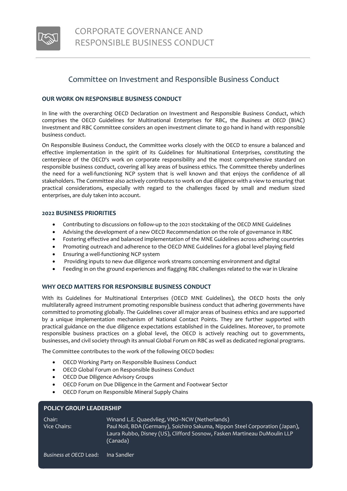

### <span id="page-5-0"></span>Committee on Investment and Responsible Business Conduct

#### **OUR WORK ON RESPONSIBLE BUSINESS CONDUCT**

In line with the overarching OECD Declaration on Investment and Responsible Business Conduct, which comprises the OECD Guidelines for Multinational Enterprises for RBC, the *Business at OECD* (BIAC) Investment and RBC Committee considers an open investment climate to go hand in hand with responsible business conduct.

On Responsible Business Conduct, the Committee works closely with the OECD to ensure a balanced and effective implementation in the spirit of its Guidelines for Multinational Enterprises, constituting the centerpiece of the OECD's work on corporate responsibility and the most comprehensive standard on responsible business conduct, covering all key areas of business ethics. The Committee thereby underlines the need for a well-functioning NCP system that is well known and that enjoys the confidence of all stakeholders. The Committee also actively contributes to work on due diligence with a view to ensuring that practical considerations, especially with regard to the challenges faced by small and medium sized enterprises, are duly taken into account.

#### **2022 BUSINESS PRIORITIES**

- Contributing to discussions on follow-up to the 2021 stocktaking of the OECD MNE Guidelines
- Advising the development of a new OECD Recommendation on the role of governance in RBC
- Fostering effective and balanced implementation of the MNE Guidelines across adhering countries
- Promoting outreach and adherence to the OECD MNE Guidelines for a global level playing field
- Ensuring a well-functioning NCP system
- Providing inputs to new due diligence work streams concerning environment and digital
- Feeding in on the ground experiences and flagging RBC challenges related to the war in Ukraine

#### **WHY OECD MATTERS FOR RESPONSIBLE BUSINESS CONDUCT**

With its Guidelines for Multinational Enterprises (OECD MNE Guidelines), the OECD hosts the only multilaterally agreed instrument promoting responsible business conduct that adhering governments have committed to promoting globally. The Guidelines cover all major areas of business ethics and are supported by a unique implementation mechanism of National Contact Points. They are further supported with practical guidance on the due diligence expectations established in the Guidelines. Moreover, to promote responsible business practices on a global level, the OECD is actively reaching out to governments, businesses, and civil society through its annual Global Forum on RBC as well as dedicated regional programs.

The Committee contributes to the work of the following OECD bodies:

- OECD Working Party on Responsible Business Conduct
- OECD Global Forum on Responsible Business Conduct
- OECD Due Diligence Advisory Groups
- OECD Forum on Due Diligence in the Garment and Footwear Sector
- OECD Forum on Responsible Mineral Supply Chains

| 1 YEK 1 YAYYA EE NYENYIN |                                                                                                                                                                                                                       |
|--------------------------|-----------------------------------------------------------------------------------------------------------------------------------------------------------------------------------------------------------------------|
| Chair:<br>Vice Chairs:   | Winand L.E. Quaedvlieg, VNO-NCW (Netherlands)<br>Paul Noll, BDA (Germany), Soichiro Sakuma, Nippon Steel Corporation (Japan),<br>Laura Rubbo, Disney (US), Clifford Sosnow, Fasken Martineau DuMoulin LLP<br>(Canada) |

**POLICY GROUP LEADERSHIP**

6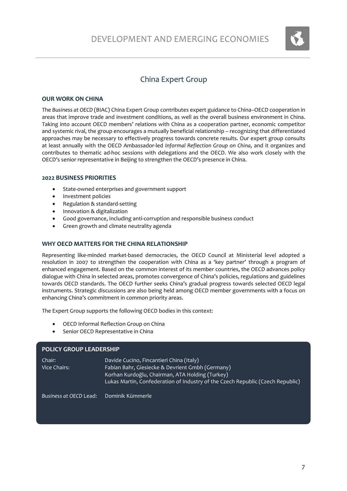

# China Expert Group

#### <span id="page-6-0"></span>**OUR WORK ON CHINA**

The *Business at OECD* (BIAC) China Expert Group contributes expert guidance to China–OECD cooperation in areas that improve trade and investment conditions, as well as the overall business environment in China. Taking into account OECD members' relations with China as a cooperation partner, economic competitor and systemic rival, the group encourages a mutually beneficial relationship – recognizing that differentiated approaches may be necessary to effectively progress towards concrete results. Our expert group consults at least annually with the OECD Ambassador-led *Informal Reflection Group on China*, and it organizes and contributes to thematic ad-hoc sessions with delegations and the OECD. We also work closely with the OECD's senior representative in Beijing to strengthen the OECD's presence in China.

#### **2022 BUSINESS PRIORITIES**

- State-owned enterprises and government support
- Investment policies
- Regulation & standard-setting
- Innovation & digitalization
- Good governance, including anti-corruption and responsible business conduct
- Green growth and climate neutrality agenda

#### **WHY OECD MATTERS FOR THE CHINA RELATIONSHIP**

Representing like-minded market-based democracies, the OECD Council at Ministerial level adopted a resolution in 2007 to strengthen the cooperation with China as a 'key partner' through a program of enhanced engagement. Based on the common interest of its member countries, the OECD advances policy dialogue with China in selected areas, promotes convergence of China's policies, regulations and guidelines towards OECD standards. The OECD further seeks China's gradual progress towards selected OECD legal instruments. Strategic discussions are also being held among OECD member governments with a focus on enhancing China's commitment in common priority areas.

The Expert Group supports the following OECD bodies in this context:

- OECD Informal Reflection Group on China
- Senior OECD Representative in China

#### **POLICY GROUP LEADERSHIP**

| Chair:       | Davide Cucino, Fincantieri China (Italy)                                       |
|--------------|--------------------------------------------------------------------------------|
| Vice Chairs: | Fabian Bahr, Giesiecke & Devrient Gmbh (Germany)                               |
|              | Korhan Kurdoğlu, Chairman, ATA Holding (Turkey)                                |
|              | Lukas Martin, Confederation of Industry of the Czech Republic (Czech Republic) |
|              |                                                                                |

*Business at OECD* Lead: Dominik Kümmerle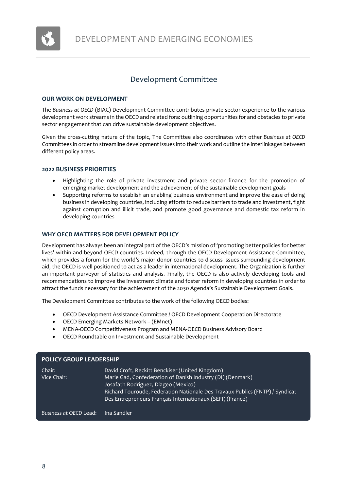

# Development Committee

#### <span id="page-7-0"></span>**OUR WORK ON DEVELOPMENT**

The *Business at OECD* (BIAC) Development Committee contributes private sector experience to the various development work streams in the OECD and related fora: outlining opportunities for and obstacles to private sector engagement that can drive sustainable development objectives.

Given the cross-cutting nature of the topic, The Committee also coordinates with other *Business at OECD* Committees in order to streamline development issues into their work and outline the interlinkages between different policy areas.

#### **2022 BUSINESS PRIORITIES**

- Highlighting the role of private investment and private sector finance for the promotion of emerging market development and the achievement of the sustainable development goals
- Supporting reforms to establish an enabling business environment and improve the ease of doing business in developing countries, including efforts to reduce barriers to trade and investment, fight against corruption and illicit trade, and promote good governance and domestic tax reform in developing countries

#### **WHY OECD MATTERS FOR DEVELOPMENT POLICY**

Development has always been an integral part of the OECD's mission of 'promoting better policies for better lives' within and beyond OECD countries. Indeed, through the OECD Development Assistance Committee, which provides a forum for the world's major donor countries to discuss issues surrounding development aid, the OECD is well positioned to act as a leader in international development. The Organization is further an important purveyor of statistics and analysis. Finally, the OECD is also actively developing tools and recommendations to improve the investment climate and foster reform in developing countries in order to attract the funds necessary for the achievement of the 2030 Agenda's Sustainable Development Goals.

The Development Committee contributes to the work of the following OECD bodies:

- OECD Development Assistance Committee / OECD Development Cooperation Directorate
- OECD Emerging Markets Network (EMnet)
- MENA-OECD Competitiveness Program and MENA-OECD Business Advisory Board
- OECD Roundtable on Investment and Sustainable Development

| <b>POLICY GROUP LEADERSHIP</b> |                                                                                                                                                                                                                                                                                                   |  |
|--------------------------------|---------------------------------------------------------------------------------------------------------------------------------------------------------------------------------------------------------------------------------------------------------------------------------------------------|--|
| Chair:<br>Vice Chair:          | David Croft, Reckitt Benckiser (United Kingdom)<br>Marie Gad, Confederation of Danish Industry (DI) (Denmark)<br>Josafath Rodriguez, Diageo (Mexico)<br>Richard Touroude, Federation Nationale Des Travaux Publics (FNTP) / Syndicat<br>Des Entrepreneurs Français Internationaux (SEFI) (France) |  |
| Business at OECD Lead:         | ılna Sandler'                                                                                                                                                                                                                                                                                     |  |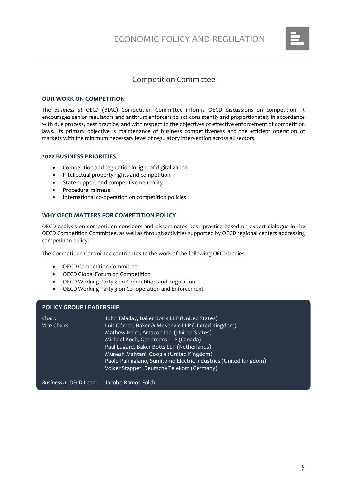

### Competition Committee

#### <span id="page-8-0"></span>**OUR WORK ON COMPETITION**

The *Business at OECD* (BIAC) Competition Committee informs OECD discussions on competition. It encourages senior regulators and antitrust enforcers to act consistently and proportionately in accordance with due process, best practice, and with respect to the objectives of effective enforcement of competition laws. Its primary objective is maintenance of business competitiveness and the efficient operation of markets with the minimum necessary level of regulatory intervention across all sectors.

#### **2022 BUSINESS PRIORITIES**

- Competition and regulation in light of digitalization
- Intellectual property rights and competition
- State support and competitive neutrality
- Procedural fairness
- International co-operation on competition policies

### **WHY OECD MATTERS FOR COMPETITION POLICY**

OECD analysis on competition considers and disseminates best–practice based on expert dialogue in the OECD Competition Committee, as well as through activities supported by OECD regional centers addressing competition policy.

The Competition Committee contributes to the work of the following OECD bodies:

- OECD Competition Committee
- OECD Global Forum on Competition
- OECD Working Party 2 on Competition and Regulation
- OECD Working Party 3 on Co–operation and Enforcement

#### **POLICY GROUP LEADERSHIP**

| Chair:              | John Taladay, Baker Botts LLP (United States)                   |
|---------------------|-----------------------------------------------------------------|
| <b>Vice Chairs:</b> | Luis Gómez, Baker & McKenzie LLP (United Kingdom)               |
|                     | Mathew Heim, Amazon Inc. (United States)                        |
|                     | Michael Koch, Goodmans LLP (Canada)                             |
|                     | Paul Lugard, Baker Botts LLP (Netherlands)                      |
|                     | Munesh Mahtani, Google (United Kingdom)                         |
|                     | Paolo Palmigiano, Sumitomo Electric Industries (United Kingdom) |
|                     | Volker Stapper, Deutsche Telekom (Germany)                      |
|                     |                                                                 |

*Business at OECD* Lead: Jacobo Ramos-Folch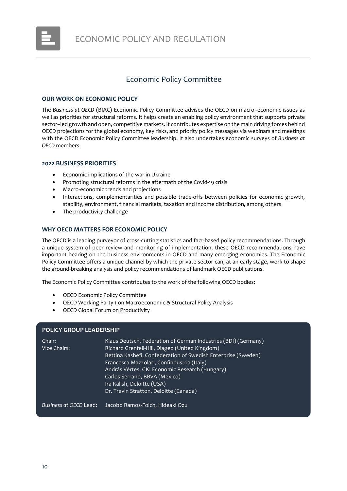

# Economic Policy Committee

#### <span id="page-9-0"></span>**OUR WORK ON ECONOMIC POLICY**

The *Business at OECD* (BIAC) Economic Policy Committee advises the OECD on macro–economic issues as well as priorities for structural reforms. It helps create an enabling policy environment that supports private sector–led growth and open, competitive markets. It contributes expertise on the main driving forces behind OECD projections for the global economy, key risks, and priority policy messages via webinars and meetings with the OECD Economic Policy Committee leadership. It also undertakes economic surveys of *Business at OECD* members.

#### **2022 BUSINESS PRIORITIES**

- Economic implications of the war in Ukraine
- Promoting structural reforms in the aftermath of the Covid-19 crisis
- Macro-economic trends and projections
- Interactions, complementarities and possible trade-offs between policies for economic growth, stability, environment, financial markets, taxation and income distribution, among others
- The productivity challenge

#### **WHY OECD MATTERS FOR ECONOMIC POLICY**

The OECD is a leading purveyor of cross-cutting statistics and fact-based policy recommendations. Through a unique system of peer review and monitoring of implementation, these OECD recommendations have important bearing on the business environments in OECD and many emerging economies. The Economic Policy Committee offers a unique channel by which the private sector can, at an early stage, work to shape the ground-breaking analysis and policy recommendations of landmark OECD publications.

The Economic Policy Committee contributes to the work of the following OECD bodies:

- OECD Economic Policy Committee
- OECD Working Party 1 on Macroeconomic & Structural Policy Analysis
- OECD Global Forum on Productivity

#### **POLICY GROUP LEADERSHIP**

| Chair:<br>Vice Chairs: | Klaus Deutsch, Federation of German Industries (BDI) (Germany)<br>Richard Grenfell-Hill, Diageo (United Kingdom)<br>Bettina Kashefi, Confederation of Swedish Enterprise (Sweden)<br>Francesca Mazzolari, Confindustria (Italy)<br>András Vértes, GKI Economic Research (Hungary)<br>Carlos Serrano, BBVA (Mexico)<br>Ira Kalish, Deloitte (USA)<br>Dr. Trevin Stratton, Deloitte (Canada) |
|------------------------|--------------------------------------------------------------------------------------------------------------------------------------------------------------------------------------------------------------------------------------------------------------------------------------------------------------------------------------------------------------------------------------------|
| Business at OECD Lead: | Jacobo Ramos-Folch, Hideaki Ozu                                                                                                                                                                                                                                                                                                                                                            |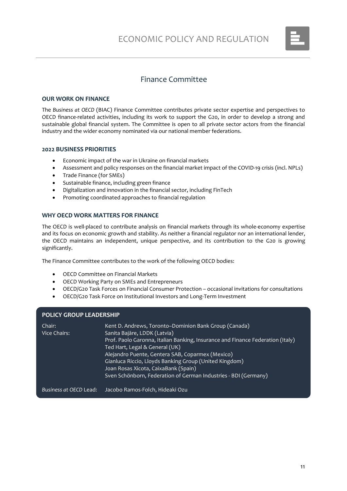

# Finance Committee

#### <span id="page-10-0"></span>**OUR WORK ON FINANCE**

The *Business at OECD* (BIAC) Finance Committee contributes private sector expertise and perspectives to OECD finance-related activities, including its work to support the G20, in order to develop a strong and sustainable global financial system. The Committee is open to all private sector actors from the financial industry and the wider economy nominated via our national member federations.

#### **2022 BUSINESS PRIORITIES**

- Economic impact of the war in Ukraine on financial markets
- Assessment and policy responses on the financial market impact of the COVID-19 crisis (incl. NPLs)
- Trade Finance (for SMEs)
- Sustainable finance, including green finance
- Digitalization and innovation in the financial sector, including FinTech
- Promoting coordinated approaches to financial regulation

#### **WHY OECD WORK MATTERS FOR FINANCE**

The OECD is well-placed to contribute analysis on financial markets through its whole-economy expertise and its focus on economic growth and stability. As neither a financial regulator nor an international lender, the OECD maintains an independent, unique perspective, and its contribution to the G20 is growing significantly.

The Finance Committee contributes to the work of the following OECD bodies:

- OECD Committee on Financial Markets
- OECD Working Party on SMEs and Entrepreneurs
- OECD/G20 Task Forces on Financial Consumer Protection occasional invitations for consultations
- OECD/G20 Task Force on Institutional Investors and Long-Term Investment

#### **POLICY GROUP LEADERSHIP**

| Chair:<br>Vice Chairs: | Kent D. Andrews, Toronto-Dominion Bank Group (Canada)<br>Sanita Bajāre, LDDK (Latvia)<br>Prof. Paolo Garonna, Italian Banking, Insurance and Finance Federation (Italy)<br>Ted Hart, Legal & General (UK)<br>Alejandro Puente, Gentera SAB, Coparmex (Mexico)<br>Gianluca Riccio, Lloyds Banking Group (United Kingdom)<br>Joan Rosas Xicota, CaixaBank (Spain)<br>Sven Schönborn, Federation of German Industries - BDI (Germany) |
|------------------------|------------------------------------------------------------------------------------------------------------------------------------------------------------------------------------------------------------------------------------------------------------------------------------------------------------------------------------------------------------------------------------------------------------------------------------|
| Business at OECD Lead: | Jacobo Ramos-Folch, Hideaki Ozu                                                                                                                                                                                                                                                                                                                                                                                                    |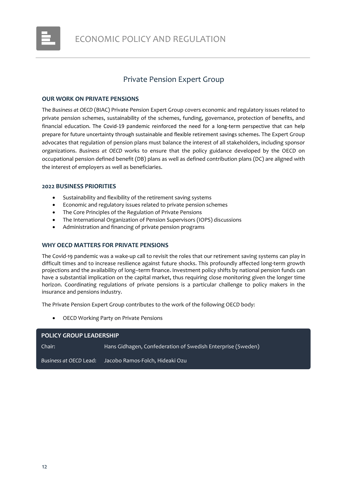

### Private Pension Expert Group

#### <span id="page-11-0"></span>**OUR WORK ON PRIVATE PENSIONS**

The *Business at OECD* (BIAC) Private Pension Expert Group covers economic and regulatory issues related to private pension schemes, sustainability of the schemes, funding, governance, protection of benefits, and financial education. The Covid-19 pandemic reinforced the need for a long-term perspective that can help prepare for future uncertainty through sustainable and flexible retirement savings schemes. The Expert Group advocates that regulation of pension plans must balance the interest of all stakeholders, including sponsor organizations. *Business at OECD* works to ensure that the policy guidance developed by the OECD on occupational pension defined benefit (DB) plans as well as defined contribution plans (DC) are aligned with the interest of employers as well as beneficiaries.

#### **2022 BUSINESS PRIORITIES**

- Sustainability and flexibility of the retirement saving systems
- Economic and regulatory issues related to private pension schemes
- The Core Principles of the Regulation of Private Pensions
- The International Organization of Pension Supervisors (IOPS) discussions
- Administration and financing of private pension programs

#### **WHY OECD MATTERS FOR PRIVATE PENSIONS**

The Covid-19 pandemic was a wake-up call to revisit the roles that our retirement saving systems can play in difficult times and to increase resilience against future shocks. This profoundly affected long-term growth projections and the availability of long–term finance. Investment policy shifts by national pension funds can have a substantial implication on the capital market, thus requiring close monitoring given the longer time horizon. Coordinating regulations of private pensions is a particular challenge to policy makers in the insurance and pensions industry.

The Private Pension Expert Group contributes to the work of the following OECD body:

• OECD Working Party on Private Pensions

| <b>POLICY GROUP LEADERSHIP</b> |                                                             |  |
|--------------------------------|-------------------------------------------------------------|--|
| Chair:                         | Hans Gidhagen, Confederation of Swedish Enterprise (Sweden) |  |
| Business at OECD Lead:         | Jacobo Ramos-Folch, Hideaki Ozu                             |  |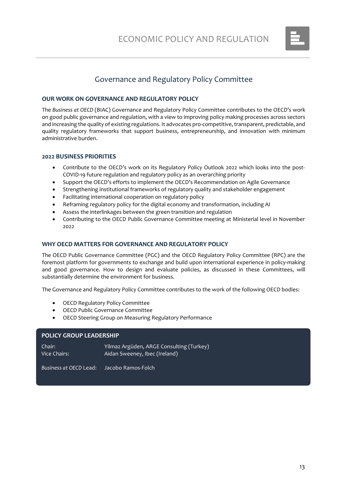

# Governance and Regulatory Policy Committee

#### <span id="page-12-0"></span>**OUR WORK ON GOVERNANCE AND REGULATORY POLICY**

The *Business at OECD* (BIAC) Governance and Regulatory Policy Committee contributes to the OECD's work on good public governance and regulation, with a view to improving policy making processes across sectors and increasing the quality of existing regulations. It advocates pro-competitive, transparent, predictable, and quality regulatory frameworks that support business, entrepreneurship, and innovation with minimum administrative burden.

#### **2022 BUSINESS PRIORITIES**

- Contribute to the OECD's work on its Regulatory Policy Outlook 2022 which looks into the post-COVID-19 future regulation and regulatory policy as an overarching priority
- Support the OECD's efforts to implement the OECD's Recommendation on Agile Governance
- Strengthening institutional frameworks of regulatory quality and stakeholder engagement
- Facilitating international cooperation on regulatory policy
- Reframing regulatory policy for the digital economy and transformation, including AI
- Assess the interlinkages between the green transition and regulation
- Contributing to the OECD Public Governance Committee meeting at Ministerial level in November 2022

#### **WHY OECD MATTERS FOR GOVERNANCE AND REGULATORY POLICY**

The OECD Public Governance Committee (PGC) and the OECD Regulatory Policy Committee (RPC) are the foremost platform for governments to exchange and build upon international experience in policy-making and good governance. How to design and evaluate policies, as discussed in these Committees, will substantially determine the environment for business.

The Governance and Regulatory Policy Committee contributes to the work of the following OECD bodies:

- OECD Regulatory Policy Committee
- OECD Public Governance Committee
- OECD Steering Group on Measuring Regulatory Performance

#### **POLICY GROUP LEADERSHIP**

| Chair:       | Yilmaz Argüden, ARGE Consulting (Turkey) |
|--------------|------------------------------------------|
| Vice Chairs: | Aidan Sweeney, Ibec (Ireland)            |
|              |                                          |

*Business at OECD* Lead: Jacobo Ramos-Folch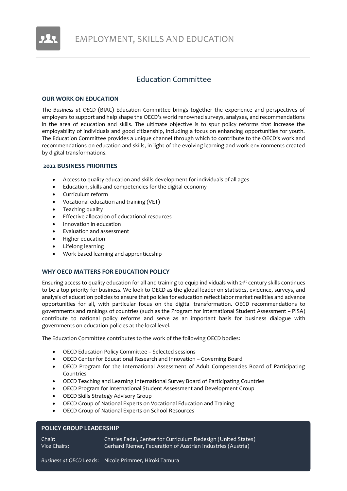

### Education Committee

#### <span id="page-13-0"></span>**OUR WORK ON EDUCATION**

The *Business at OECD* (BIAC) Education Committee brings together the experience and perspectives of employers to support and help shape the OECD's world renowned surveys, analyses, and recommendations in the area of education and skills. The ultimate objective is to spur policy reforms that increase the employability of individuals and good citizenship, including a focus on enhancing opportunities for youth. The Education Committee provides a unique channel through which to contribute to the OECD's work and recommendations on education and skills, in light of the evolving learning and work environments created by digital transformations.

#### **2022 BUSINESS PRIORITIES**

- Access to quality education and skills development for individuals of all ages
- Education, skills and competencies for the digital economy
- Curriculum reform
- Vocational education and training (VET)
- Teaching quality
- Effective allocation of educational resources
- Innovation in education
- Evaluation and assessment
- Higher education
- Lifelong learning
- Work based learning and apprenticeship

#### **WHY OECD MATTERS FOR EDUCATION POLICY**

Ensuring access to quality education for all and training to equip individuals with 21<sup>st</sup> century skills continues to be a top priority for business. We look to OECD as the global leader on statistics, evidence, surveys, and analysis of education policies to ensure that policies for education reflect labor market realities and advance opportunities for all, with particular focus on the digital transformation. OECD recommendations to governments and rankings of countries (such as the Program for International Student Assessment – PISA) contribute to national policy reforms and serve as an important basis for business dialogue with governments on education policies at the local level.

The Education Committee contributes to the work of the following OECD bodies:

- OECD Education Policy Committee Selected sessions
- OECD Center for Educational Research and Innovation Governing Board
- OECD Program for the International Assessment of Adult Competencies Board of Participating Countries
- OECD Teaching and Learning International Survey Board of Participating Countries
- OECD Program for International Student Assessment and Development Group
- OECD Skills Strategy Advisory Group
- OECD Group of National Experts on Vocational Education and Training
- OECD Group of National Experts on School Resources

#### **POLICY GROUP LEADERSHIP**

Chair: Charles Fadel, Center for Curriculum Redesign (United States) Vice Chairs: Gerhard Riemer, Federation of Austrian Industries (Austria)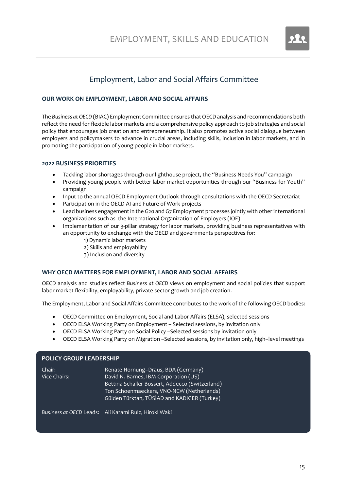

# Employment, Labor and Social Affairs Committee

#### <span id="page-14-0"></span>**OUR WORK ON EMPLOYMENT, LABOR AND SOCIAL AFFAIRS**

The *Business at OECD* (BIAC) Employment Committee ensures that OECD analysis and recommendations both reflect the need for flexible labor markets and a comprehensive policy approach to job strategies and social policy that encourages job creation and entrepreneurship. It also promotes active social dialogue between employers and policymakers to advance in crucial areas, including skills, inclusion in labor markets, and in promoting the participation of young people in labor markets.

#### **2022 BUSINESS PRIORITIES**

- Tackling labor shortages through our lighthouse project, the "Business Needs You" campaign
- Providing young people with better labor market opportunities through our "Business for Youth" campaign
- Input to the annual OECD Employment Outlook through consultations with the OECD Secretariat
- Participation in the OECD AI and Future of Work projects
- Lead business engagement in the G20 and G7 Employment processes jointly with other international organizations such as the International Organization of Employers (IOE)
- Implementation of our 3-pillar strategy for labor markets, providing business representatives with an opportunity to exchange with the OECD and governments perspectives for:
	- 1) Dynamic labor markets
	- 2) Skills and employability
	- 3) Inclusion and diversity

#### **WHY OECD MATTERS FOR EMPLOYMENT, LABOR AND SOCIAL AFFAIRS**

OECD analysis and studies reflect *Business at OECD* views on employment and social policies that support labor market flexibility, employability, private sector growth and job creation.

The Employment, Labor and Social Affairs Committee contributes to the work of the following OECD bodies:

- OECD Committee on Employment, Social and Labor Affairs (ELSA), selected sessions
- OECD ELSA Working Party on Employment Selected sessions, by invitation only
- OECD ELSA Working Party on Social Policy –Selected sessions by invitation only
- OECD ELSA Working Party on Migration –Selected sessions, by invitation only, high–level meetings

#### **POLICY GROUP LEADERSHIP**

| Chair:       | Renate Hornung-Draus, BDA (Germany)             |
|--------------|-------------------------------------------------|
| Vice Chairs: | David N. Barnes, IBM Corporation (US)           |
|              | Bettina Schaller Bossert, Addecco (Switzerland) |
|              | Ton Schoenmaeckers, VNO-NCW (Netherlands)       |
|              | Gülden Türktan, TÜSİAD and KADIGER (Turkey)     |

*Business at OECD* Leads: Ali Karami Ruiz, Hiroki Waki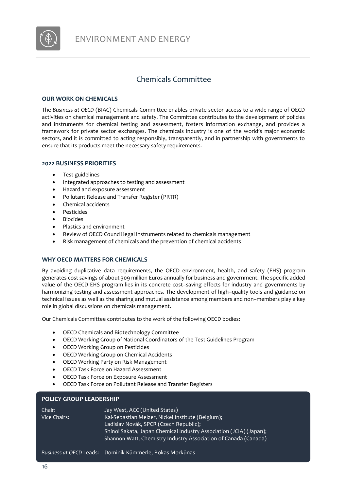

# Chemicals Committee

#### <span id="page-15-0"></span>**OUR WORK ON CHEMICALS**

The *Business at OECD* (BIAC) Chemicals Committee enables private sector access to a wide range of OECD activities on chemical management and safety. The Committee contributes to the development of policies and instruments for chemical testing and assessment, fosters information exchange, and provides a framework for private sector exchanges. The chemicals industry is one of the world's major economic sectors, and it is committed to acting responsibly, transparently, and in partnership with governments to ensure that its products meet the necessary safety requirements.

#### **2022 BUSINESS PRIORITIES**

- Test guidelines
- Integrated approaches to testing and assessment
- Hazard and exposure assessment
- Pollutant Release and Transfer Register (PRTR)
- Chemical accidents
- Pesticides
- **Biocides**
- Plastics and environment
- Review of OECD Council legal instruments related to chemicals management
- Risk management of chemicals and the prevention of chemical accidents

#### **WHY OECD MATTERS FOR CHEMICALS**

By avoiding duplicative data requirements, the OECD environment, health, and safety (EHS) program generates cost savings of about 309 million Euros annually for business and government. The specific added value of the OECD EHS program lies in its concrete cost–saving effects for industry and governments by harmonizing testing and assessment approaches. The development of high–quality tools and guidance on technical issues as well as the sharing and mutual assistance among members and non–members play a key role in global discussions on chemicals management.

Our Chemicals Committee contributes to the work of the following OECD bodies:

- OECD Chemicals and Biotechnology Committee
- OECD Working Group of National Coordinators of the Test Guidelines Program
- OECD Working Group on Pesticides
- OECD Working Group on Chemical Accidents
- OECD Working Party on Risk Management
- OECD Task Force on Hazard Assessment
- OECD Task Force on Exposure Assessment
- OECD Task Force on Pollutant Release and Transfer Registers

#### **POLICY GROUP LEADERSHIP**

| Chair:       | Jay West, ACC (United States)                                      |
|--------------|--------------------------------------------------------------------|
| Vice Chairs: | Kai-Sebastian Melzer, Nickel Institute (Belgium);                  |
|              | Ladislav Novák, SPCR (Czech Republic);                             |
|              | Shinoi Sakata, Japan Chemical Industry Association (JCIA) (Japan); |
|              | Shannon Watt, Chemistry Industry Association of Canada (Canada)    |
|              |                                                                    |

*Business at OECD* Leads: Dominik Kümmerle, Rokas Morkūnas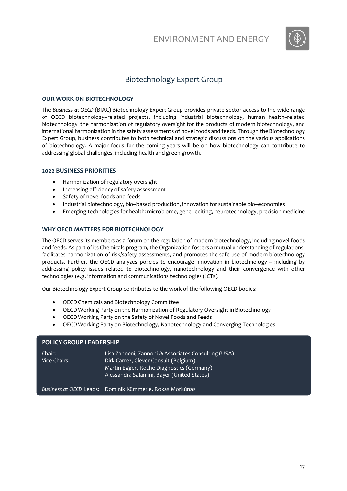

# Biotechnology Expert Group

#### <span id="page-16-0"></span>**OUR WORK ON BIOTECHNOLOGY**

The *Business at OECD* (BIAC) Biotechnology Expert Group provides private sector access to the wide range of OECD biotechnology–related projects, including industrial biotechnology, human health–related biotechnology, the harmonization of regulatory oversight for the products of modern biotechnology, and international harmonization in the safety assessments of novel foods and feeds. Through the Biotechnology Expert Group, business contributes to both technical and strategic discussions on the various applications of biotechnology. A major focus for the coming years will be on how biotechnology can contribute to addressing global challenges, including health and green growth.

#### **2022 BUSINESS PRIORITIES**

- Harmonization of regulatory oversight
- Increasing efficiency of safety assessment
- Safety of novel foods and feeds
- Industrial biotechnology, bio–based production, innovation for sustainable bio–economies
- Emerging technologies for health: microbiome, gene–editing, neurotechnology, precision medicine

#### **WHY OECD MATTERS FOR BIOTECHNOLOGY**

The OECD serves its members as a forum on the regulation of modern biotechnology, including novel foods and feeds. As part of its Chemicals program, the Organization fosters a mutual understanding of regulations, facilitates harmonization of risk/safety assessments, and promotes the safe use of modern biotechnology products. Further, the OECD analyzes policies to encourage innovation in biotechnology – including by addressing policy issues related to biotechnology, nanotechnology and their convergence with other technologies (e.g. information and communications technologies (ICTs).

Our Biotechnology Expert Group contributes to the work of the following OECD bodies:

- OECD Chemicals and Biotechnology Committee
- OECD Working Party on the Harmonization of Regulatory Oversight in Biotechnology
- OECD Working Party on the Safety of Novel Foods and Feeds
- OECD Working Party on Biotechnology, Nanotechnology and Converging Technologies

| <b>POLICY GROUP LEADERSHIP</b> |                                                                                                                                                                                         |
|--------------------------------|-----------------------------------------------------------------------------------------------------------------------------------------------------------------------------------------|
| Chair:<br>Vice Chairs:         | Lisa Zannoni, Zannoni & Associates Consulting (USA)<br>Dirk Carrez, Clever Consult (Belgium)<br>Martin Egger, Roche Diagnostics (Germany)<br>Alessandra Salamini, Bayer (United States) |
| Business at OECD Leads:        | Dominik Kümmerle, Rokas Morkūnas                                                                                                                                                        |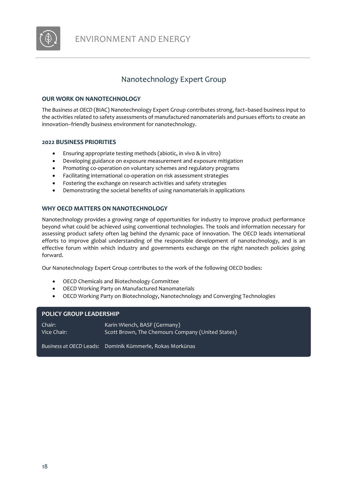

# Nanotechnology Expert Group

#### <span id="page-17-0"></span>**OUR WORK ON NANOTECHNOLOGY**

The *Business at OECD* (BIAC) Nanotechnology Expert Group contributes strong, fact–based business input to the activities related to safety assessments of manufactured nanomaterials and pursues efforts to create an innovation–friendly business environment for nanotechnology.

#### **2022 BUSINESS PRIORITIES**

- Ensuring appropriate testing methods (abiotic, in vivo & in vitro)
- Developing guidance on exposure measurement and exposure mitigation
- Promoting co-operation on voluntary schemes and regulatory programs
- Facilitating international co-operation on risk assessment strategies
- Fostering the exchange on research activities and safety strategies
- Demonstrating the societal benefits of using nanomaterials in applications

#### **WHY OECD MATTERS ON NANOTECHNOLOGY**

Nanotechnology provides a growing range of opportunities for industry to improve product performance beyond what could be achieved using conventional technologies. The tools and information necessary for assessing product safety often lag behind the dynamic pace of innovation. The OECD leads international efforts to improve global understanding of the responsible development of nanotechnology, and is an effective forum within which industry and governments exchange on the right nanotech policies going forward.

Our Nanotechnology Expert Group contributes to the work of the following OECD bodies:

- OECD Chemicals and Biotechnology Committee
- OECD Working Party on Manufactured Nanomaterials
- OECD Working Party on Biotechnology, Nanotechnology and Converging Technologies

#### **POLICY GROUP LEADERSHIP**

| Chair:      | Karin Wiench, BASF (Germany)                      |
|-------------|---------------------------------------------------|
| Vice Chair: | Scott Brown, The Chemours Company (United States) |
|             |                                                   |

*Business at OECD* Leads: Dominik Kümmerle, Rokas Morkūnas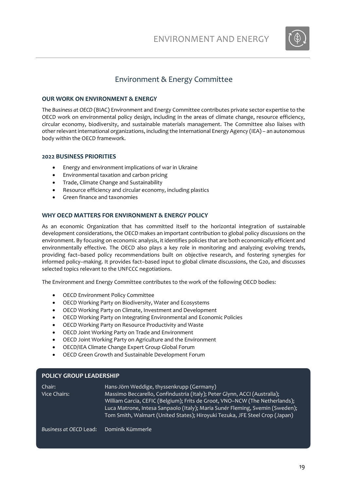

### Environment & Energy Committee

#### <span id="page-18-0"></span>**OUR WORK ON ENVIRONMENT & ENERGY**

The *Business at OECD* (BIAC) Environment and Energy Committee contributes private sector expertise to the OECD work on environmental policy design, including in the areas of climate change, resource efficiency, circular economy, biodiversity, and sustainable materials management. The Committee also liaises with other relevant international organizations, including the International Energy Agency (IEA) – an autonomous body within the OECD framework.

#### **2022 BUSINESS PRIORITIES**

- Energy and environment implications of war in Ukraine
- Environmental taxation and carbon pricing
- Trade, Climate Change and Sustainability
- Resource efficiency and circular economy, including plastics
- Green finance and taxonomies

#### **WHY OECD MATTERS FOR ENVIRONMENT & ENERGY POLICY**

As an economic Organization that has committed itself to the horizontal integration of sustainable development considerations, the OECD makes an important contribution to global policy discussions on the environment. By focusing on economic analysis, it identifies policies that are both economically efficient and environmentally effective. The OECD also plays a key role in monitoring and analyzing evolving trends, providing fact–based policy recommendations built on objective research, and fostering synergies for informed policy–making. It provides fact–based input to global climate discussions, the G20, and discusses selected topics relevant to the UNFCCC negotiations.

The Environment and Energy Committee contributes to the work of the following OECD bodies:

- OECD Environment Policy Committee
- OECD Working Party on Biodiversity, Water and Ecosystems
- OECD Working Party on Climate, Investment and Development
- OECD Working Party on Integrating Environmental and Economic Policies
- OECD Working Party on Resource Productivity and Waste
- OECD Joint Working Party on Trade and Environment
- OECD Joint Working Party on Agriculture and the Environment
- OECD/IEA Climate Change Expert Group Global Forum
- OECD Green Growth and Sustainable Development Forum

#### **POLICY GROUP LEADERSHIP**

| Chair:       | Hans-Jörn Weddige, thyssenkrupp (Germany)                                    |
|--------------|------------------------------------------------------------------------------|
| Vice Chairs: | Massimo Beccarello, Confindustria (Italy); Peter Glynn, ACCI (Australia);    |
|              | William Garcia, CEFIC (Belgium); Frits de Groot, VNO-NCW (The Netherlands);  |
|              | Luca Matrone, Intesa Sanpaolo (Italy); Maria Sunér Fleming, Svemin (Sweden); |
|              | Tom Smith, Walmart (United States); Hiroyuki Tezuka, JFE Steel Crop (Japan)  |
|              |                                                                              |

*Business at OECD* Lead: Dominik Kümmerle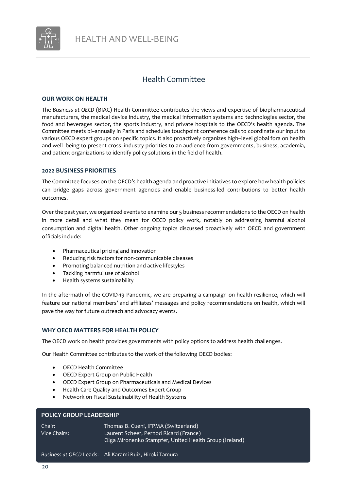

### Health Committee

#### <span id="page-19-0"></span>**OUR WORK ON HEALTH**

The *Business at OECD* (BIAC) Health Committee contributes the views and expertise of biopharmaceutical manufacturers, the medical device industry, the medical information systems and technologies sector, the food and beverages sector, the sports industry, and private hospitals to the OECD's health agenda. The Committee meets bi–annually in Paris and schedules touchpoint conference calls to coordinate our input to various OECD expert groups on specific topics. It also proactively organizes high–level global fora on health and well–being to present cross–industry priorities to an audience from governments, business, academia, and patient organizations to identify policy solutions in the field of health.

#### **2022 BUSINESS PRIORITIES**

The Committee focuses on the OECD's health agenda and proactive initiatives to explore how health policies can bridge gaps across government agencies and enable business-led contributions to better health outcomes.

Over the past year, we organized events to examine our 5 business recommendations to the OECD on health in more detail and what they mean for OECD policy work, notably on addressing harmful alcohol consumption and digital health. Other ongoing topics discussed proactively with OECD and government officials include:

- Pharmaceutical pricing and innovation
- Reducing risk factors for non-communicable diseases
- Promoting balanced nutrition and active lifestyles
- Tackling harmful use of alcohol
- Health systems sustainability

In the aftermath of the COVID-19 Pandemic, we are preparing a campaign on health resilience, which will feature our national members' and affiliates' messages and policy recommendations on health, which will pave the way for future outreach and advocacy events.

#### **WHY OECD MATTERS FOR HEALTH POLICY**

The OECD work on health provides governments with policy options to address health challenges.

Our Health Committee contributes to the work of the following OECD bodies:

- OECD Health Committee
- OECD Expert Group on Public Health
- OECD Expert Group on Pharmaceuticals and Medical Devices
- Health Care Quality and Outcomes Expert Group
- Network on Fiscal Sustainability of Health Systems

#### **POLICY GROUP LEADERSHIP**

| Chair:           | Thomas B. Cueni, IFPMA (Switzerland)                   |
|------------------|--------------------------------------------------------|
| I Vice Chairs: 1 | Laurent Scheer, Pernod Ricard (France)                 |
|                  | Olga Mironenko Stampfer, United Health Group (Ireland) |

*Business at OECD* Leads: Ali Karami Ruiz, Hiroki Tamura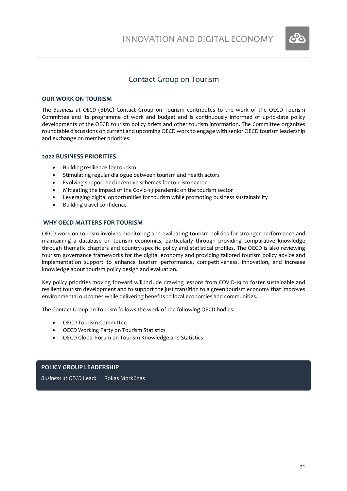

### Contact Group on Tourism

#### <span id="page-20-0"></span>**OUR WORK ON TOURISM**

The *Business at OECD* (BIAC) Contact Group on Tourism contributes to the work of the OECD Tourism Committee and its programme of work and budget and is continuously informed of up-to-date policy developments of the OECD tourism policy briefs and other tourism information. The Committee organizes roundtable discussions on current and upcoming OECD work to engage with senior OECD tourism leadership and exchange on member priorities.

#### **2022 BUSINESS PRIORITIES**

- Building resilience for tourism
- Stimulating regular dialogue between tourism and health actors
- Evolving support and incentive schemes for tourism sector
- Mitigating the impact of the Covid-19 pandemic on the tourism sector
- Leveraging digital opportunities for tourism while promoting business sustainability
- Building travel confidence

#### **WHY OECD MATTERS FOR TOURISM**

OECD work on tourism involves monitoring and evaluating tourism policies for stronger performance and maintaining a database on tourism economics, particularly through providing comparative knowledge through thematic chapters and country-specific policy and statistical profiles. The OECD is also reviewing tourism governance frameworks for the digital economy and providing tailored tourism policy advice and implementation support to enhance tourism performance, competitiveness, innovation, and increase knowledge about tourism policy design and evaluation.

Key policy priorities moving forward will include drawing lessons from COVID-19 to foster sustainable and resilient tourism development and to support the just transition to a green tourism economy that improves environmental outcomes while delivering benefits to local economies and communities.

The Contact Group on Tourism follows the work of the following OECD bodies:

- OECD Tourism Committee
- OECD Working Party on Tourism Statistics
- OECD Global Forum on Tourism Knowledge and Statistics

#### **POLICY GROUP LEADERSHIP**

*Business at OECD* Lead: Rokas Morkūnas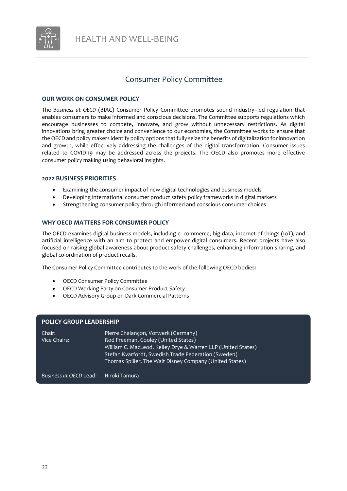

### Consumer Policy Committee

#### **OUR WORK ON CONSUMER POLICY**

The *Business at OECD* (BIAC) Consumer Policy Committee promotes sound industry–led regulation that enables consumers to make informed and conscious decisions. The Committee supports regulations which encourage businesses to compete, innovate, and grow without unnecessary restrictions. As digital innovations bring greater choice and convenience to our economies, the Committee works to ensure that the OECD and policy makers identify policy options that fully seize the benefits of digitalization for innovation and growth, while effectively addressing the challenges of the digital transformation. Consumer issues related to COVID-19 may be addressed across the projects. The OECD also promotes more effective consumer policy making using behavioral insights.

#### **2022 BUSINESS PRIORITIES**

- Examining the consumer impact of new digital technologies and business models
- Developing international consumer product safety policy frameworks in digital markets
- Strengthening consumer policy through informed and conscious consumer choices

#### **WHY OECD MATTERS FOR CONSUMER POLICY**

The OECD examines digital business models, including e–commerce, big data, internet of things (IoT), and artificial intelligence with an aim to protect and empower digital consumers. Recent projects have also focused on raising global awareness about product safety challenges, enhancing information sharing, and global co-ordination of product recalls.

The Consumer Policy Committee contributes to the work of the following OECD bodies:

- OECD Consumer Policy Committee
- OECD Working Party on Consumer Product Safety
- OECD Advisory Group on Dark Commercial Patterns

#### **POLICY GROUP LEADERSHIP**

| Chair:       | Pierre Chalançon, Vorwerk (Germany)                          |
|--------------|--------------------------------------------------------------|
| Vice Chairs: | Rod Freeman, Cooley (United States)                          |
|              | William C. MacLeod, Kelley Drye & Warren LLP (United States) |
|              | Stefan Kvarfordt, Swedish Trade Federation (Sweden)          |
|              | Thomas Spiller, The Walt Disney Company (United States)      |
|              |                                                              |

*Business at OECD* Lead: Hiroki Tamura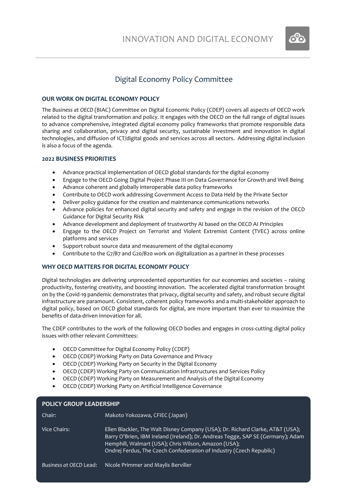

# Digital Economy Policy Committee

#### <span id="page-22-0"></span>**OUR WORK ON DIGITAL ECONOMY POLICY**

The *Business at OECD* (BIAC) Committee on Digital Economic Policy (CDEP) covers all aspects of OECD work related to the digital transformation and policy. It engages with the OECD on the full range of digital issues to advance comprehensive, integrated digital economy policy frameworks that promote responsible data sharing and collaboration, privacy and digital security, sustainable investment and innovation in digital technologies, and diffusion of ICT/digital goods and services across all sectors. Addressing digital inclusion is also a focus of the agenda.

#### **2022 BUSINESS PRIORITIES**

- Advance practical implementation of OECD global standards for the digital economy
- Engage to the OECD Going Digital Project Phase III on Data Governance for Growth and Well Being
- Advance coherent and globally interoperable data policy frameworks
- Contribute to OECD work addressing Government Access to Data Held by the Private Sector
- Deliver policy guidance for the creation and maintenance communications networks
- Advance policies for enhanced digital security and safety and engage in the revision of the OECD Guidance for Digital Security Risk
- Advance development and deployment of trustworthy AI based on the OECD AI Principles
- Engage to the OECD Project on Terrorist and Violent Extremist Content (TVEC) across online platforms and services
- Support robust source data and measurement of the digital economy
- Contribute to the G7/B7 and G20/B20 work on digitalization as a partner in these processes

#### **WHY OECD MATTERS FOR DIGITAL ECONOMY POLICY**

Digital technologies are delivering unprecedented opportunities for our economies and societies – raising productivity, fostering creativity, and boosting innovation. The accelerated digital transformation brought on by the Covid-19 pandemic demonstrates that privacy, digital security and safety, and robust secure digital infrastructure are paramount. Consistent, coherent policy frameworks and a multi-stakeholder approach to digital policy, based on OECD global standards for digital, are more important than ever to maximize the benefits of data-driven innovation for all.

The CDEP contributes to the work of the following OECD bodies and engages in cross-cutting digital policy issues with other relevant Committees:

- OECD Committee for Digital Economy Policy (CDEP)
- OECD (CDEP) Working Party on Data Governance and Privacy
- OECD (CDEP) Working Party on Security in the Digital Economy
- OECD (CDEP) Working Party on Communication Infrastructures and Services Policy
- OECD (CDEP) Working Party on Measurement and Analysis of the Digital Economy
- OECD (CDEP) Working Party on Artificial Intelligence Governance

| <b>POLICY GROUP LEADERSHIP</b> |                                                                                                                                                                                                                                                                                                  |  |
|--------------------------------|--------------------------------------------------------------------------------------------------------------------------------------------------------------------------------------------------------------------------------------------------------------------------------------------------|--|
| Chair:                         | Makoto Yokozawa, CFIEC (Japan)                                                                                                                                                                                                                                                                   |  |
| Vice Chairs:                   | Ellen Blackler, The Walt Disney Company (USA); Dr. Richard Clarke, AT&T (USA);<br>Barry O'Brien, IBM Ireland (Ireland); Dr. Andreas Tegge, SAP SE (Germany); Adam<br>Hemphill, Walmart (USA); Chris Wilson, Amazon (USA);<br>Ondrej Ferdus, The Czech Confederation of Industry (Czech Republic) |  |
| Business at OECD Lead:         | Nicole Primmer and Maylis Berviller                                                                                                                                                                                                                                                              |  |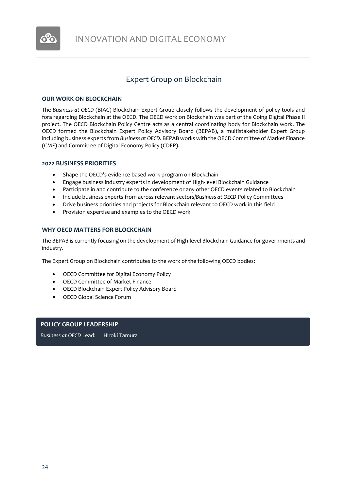

# Expert Group on Blockchain

#### <span id="page-23-0"></span>**OUR WORK ON BLOCKCHAIN**

The *Business at OECD* (BIAC) Blockchain Expert Group closely follows the development of policy tools and fora regarding Blockchain at the OECD. The OECD work on Blockchain was part of the Going Digital Phase II project. The OECD Blockchain Policy Centre acts as a central coordinating body for Blockchain work. The OECD formed the Blockchain Expert Policy Advisory Board (BEPAB), a multistakeholder Expert Group including business experts from *Business at OECD*. BEPAB works with the OECD Committee of Market Finance (CMF) and Committee of Digital Economy Policy (CDEP).

#### **2022 BUSINESS PRIORITIES**

- Shape the OECD's evidence-based work program on Blockchain
- Engage business industry experts in development of High-level Blockchain Guidance
- Participate in and contribute to the conference or any other OECD events related to Blockchain
- Include business experts from across relevant sectors/*Business at OECD* Policy Committees
- Drive business priorities and projects for Blockchain relevant to OECD work in this field
- Provision expertise and examples to the OECD work

#### **WHY OECD MATTERS FOR BLOCKCHAIN**

The BEPAB is currently focusing on the development of High-level Blockchain Guidance for governments and industry.

The Expert Group on Blockchain contributes to the work of the following OECD bodies:

- OECD Committee for Digital Economy Policy
- OECD Committee of Market Finance
- OECD Blockchain Expert Policy Advisory Board
- OECD Global Science Forum

#### **POLICY GROUP LEADERSHIP**

*Business at OECD* Lead: Hiroki Tamura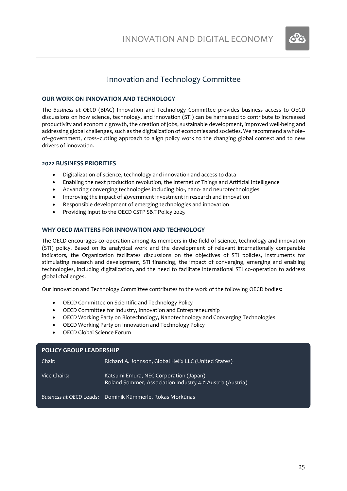

### Innovation and Technology Committee

#### **OUR WORK ON INNOVATION AND TECHNOLOGY**

The *Business at OECD* (BIAC) Innovation and Technology Committee provides business access to OECD discussions on how science, technology, and innovation (STI) can be harnessed to contribute to increased productivity and economic growth, the creation of jobs, sustainable development, improved well-being and addressing global challenges, such as the digitalization of economies and societies. We recommend a whole– of–government, cross–cutting approach to align policy work to the changing global context and to new drivers of innovation.

#### **2022 BUSINESS PRIORITIES**

- Digitalization of science, technology and innovation and access to data
- Enabling the next production revolution, the Internet of Things and Artificial Intelligence
- Advancing converging technologies including bio-, nano- and neurotechnologies
- Improving the impact of government investment in research and innovation
- Responsible development of emerging technologies and innovation
- Providing input to the OECD CSTP S&T Policy 2025

#### **WHY OECD MATTERS FOR INNOVATION AND TECHNOLOGY**

The OECD encourages co‑operation among its members in the field of science, technology and innovation (STI) policy. Based on its analytical work and the development of relevant internationally comparable indicators, the Organization facilitates discussions on the objectives of STI policies, instruments for stimulating research and development, STI financing, the impact of converging, emerging and enabling technologies, including digitalization, and the need to facilitate international STI co-operation to address global challenges.

Our Innovation and Technology Committee contributes to the work of the following OECD bodies:

- OECD Committee on Scientific and Technology Policy
- OECD Committee for Industry, Innovation and Entrepreneurship
- OECD Working Party on Biotechnology, Nanotechnology and Converging Technologies
- OECD Working Party on Innovation and Technology Policy
- OECD Global Science Forum

| <b>POLICY GROUP LEADERSHIP</b> |                                                                                                     |
|--------------------------------|-----------------------------------------------------------------------------------------------------|
| Chair:                         | Richard A. Johnson, Global Helix LLC (United States)                                                |
| Vice Chairs:                   | Katsumi Emura, NEC Corporation (Japan)<br>Roland Sommer, Association Industry 4.0 Austria (Austria) |
|                                | Business at OECD Leads: Dominik Kümmerle, Rokas Morkūnas                                            |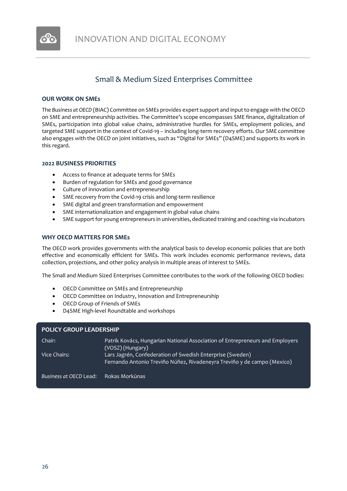

# Small & Medium Sized Enterprises Committee

#### <span id="page-25-0"></span>**OUR WORK ON SMEs**

The *Business at OECD* (BIAC) Committee on SMEs provides expert support and input to engage with the OECD on SME and entrepreneurship activities. The Committee's scope encompasses SME finance, digitalization of SMEs, participation into global value chains, administrative hurdles for SMEs, employment policies, and targeted SME support in the context of Covid-19 – including long-term recovery efforts. Our SME committee also engages with the OECD on joint initiatives, such as "Digital for SMEs" (D4SME) and supports its work in this regard.

#### **2022 BUSINESS PRIORITIES**

- Access to finance at adequate terms for SMEs
- Burden of regulation for SMEs and good governance
- Culture of innovation and entrepreneurship
- SME recovery from the Covid-19 crisis and long-term resilience
- SME digital and green transformation and empowerment
- SME internationalization and engagement in global value chains
- SME support for young entrepreneurs in universities, dedicated training and coaching via incubators

#### **WHY OECD MATTERS FOR SMEs**

The OECD work provides governments with the analytical basis to develop economic policies that are both effective and economically efficient for SMEs. This work includes economic performance reviews, data collection, projections, and other policy analysis in multiple areas of interest to SMEs.

The Small and Medium Sized Enterprises Committee contributes to the work of the following OECD bodies:

- OECD Committee on SMEs and Entrepreneurship
- OECD Committee on Industry, Innovation and Entrepreneurship
- OECD Group of Friends of SMEs
- D4SME High-level Roundtable and workshops

#### **POLICY GROUP LEADERSHIP**

| Chair:                 | Patrik Kovács, Hungarian National Association of Entrepreneurs and Employers<br>(VOSZ) (Hungary)                                     |
|------------------------|--------------------------------------------------------------------------------------------------------------------------------------|
| Vice Chairs:           | Lars Jagrén, Confederation of Swedish Enterprise (Sweden)<br>Fernando Antonio Treviño Núñez, Rivadeneyra Treviño y de campo (Mexico) |
| Business at OECD Lead: | Rokas Morkūnas                                                                                                                       |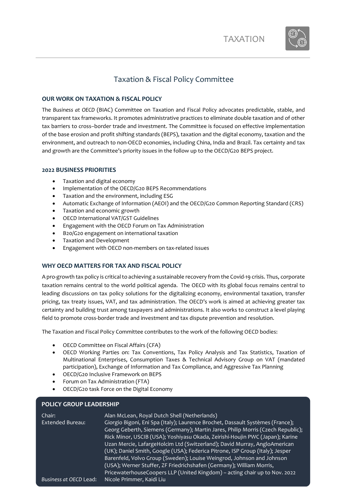

# Taxation & Fiscal Policy Committee

#### <span id="page-26-0"></span>**OUR WORK ON TAXATION & FISCAL POLICY**

The *Business at OECD* (BIAC) Committee on Taxation and Fiscal Policy advocates predictable, stable, and transparent tax frameworks. It promotes administrative practices to eliminate double taxation and of other tax barriers to cross–border trade and investment. The Committee is focused on effective implementation of the base erosion and profit shifting standards (BEPS), taxation and the digital economy, taxation and the environment, and outreach to non-OECD economies, including China, India and Brazil. Tax certainty and tax and growth are the Committee's priority issues in the follow up to the OECD/G20 BEPS project.

#### **2022 BUSINESS PRIORITIES**

- Taxation and digital economy
- Implementation of the OECD/G20 BEPS Recommendations
- Taxation and the environment, including ESG
- Automatic Exchange of Information (AEOI) and the OECD/G20 Common Reporting Standard (CRS)
- Taxation and economic growth
- OECD International VAT/GST Guidelines
- Engagement with the OECD Forum on Tax Administration
- B20/G20 engagement on international taxation
- Taxation and Development
- Engagement with OECD non-members on tax-related issues

#### **WHY OECD MATTERS FOR TAX AND FISCAL POLICY**

A pro-growth tax policy is critical to achieving a sustainable recovery from the Covid-19 crisis. Thus, corporate taxation remains central to the world political agenda. The OECD with its global focus remains central to leading discussions on tax policy solutions for the digitalizing economy, environmental taxation, transfer pricing, tax treaty issues, VAT, and tax administration. The OECD's work is aimed at achieving greater tax certainty and building trust among taxpayers and administrations. It also works to construct a level playing field to promote cross-border trade and investment and tax dispute prevention and resolution.

The Taxation and Fiscal Policy Committee contributes to the work of the following OECD bodies:

- OECD Committee on Fiscal Affairs (CFA)
- OECD Working Parties on: Tax Conventions, Tax Policy Analysis and Tax Statistics, Taxation of Multinational Enterprises, Consumption Taxes & Technical Advisory Group on VAT (mandated participation), Exchange of Information and Tax Compliance, and Aggressive Tax Planning
- OECD/G20 Inclusive Framework on BEPS
- Forum on Tax Administration (FTA)

**POLICY GROUP LEADERSHIP**

• OECD/G20 task Force on the Digital Economy

| Georg Geberth, Siemens (Germany); Martin Jares, Philip Morris (Czech Republic); |
|---------------------------------------------------------------------------------|
|                                                                                 |
|                                                                                 |
|                                                                                 |
|                                                                                 |
|                                                                                 |
|                                                                                 |
|                                                                                 |
| Rick Minor, USCIB (USA); Yoshiyasu Okada, Zeirishi-Houjin PWC (Japan); Karine   |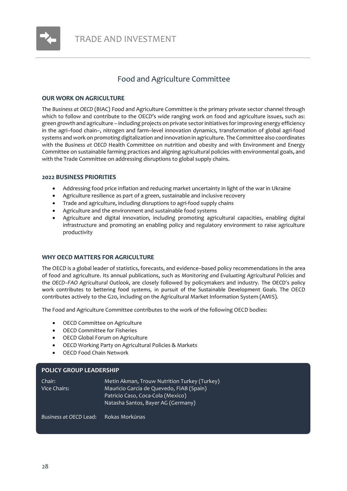

# Food and Agriculture Committee

#### <span id="page-27-0"></span>**OUR WORK ON AGRICULTURE**

The *Business at OECD* (BIAC) Food and Agriculture Committee is the primary private sector channel through which to follow and contribute to the OECD's wide ranging work on food and agriculture issues, such as: green growth and agriculture – including projects on private sectorinitiatives for improving energy efficiency in the agri–food chain–, nitrogen and farm–level innovation dynamics, transformation of global agri-food systems and work on promoting digitalization and innovation in agriculture. The Committee also coordinates with the *Business at OECD* Health Committee on nutrition and obesity and with Environment and Energy Committee on sustainable farming practices and aligning agricultural policies with environmental goals, and with the Trade Committee on addressing disruptions to global supply chains.

#### **2022 BUSINESS PRIORITIES**

- Addressing food price inflation and reducing market uncertainty in light of the war in Ukraine
- Agriculture resilience as part of a green, sustainable and inclusive recovery
- Trade and agriculture, including disruptions to agri-food supply chains
- Agriculture and the environment and sustainable food systems
- Agriculture and digital innovation, including promoting agricultural capacities, enabling digital infrastructure and promoting an enabling policy and regulatory environment to raise agriculture productivity

#### **WHY OECD MATTERS FOR AGRICULTURE**

The OECD is a global leader of statistics, forecasts, and evidence–based policy recommendations in the area of food and agriculture. Its annual publications, such as *Monitoring and Evaluating Agricultural Policies* and the *OECD–FAO Agricultural Outlook*, are closely followed by policymakers and industry. The OECD's policy work contributes to bettering food systems, in pursuit of the Sustainable Development Goals. The OECD contributes actively to the G20, including on the Agricultural Market Information System (AMIS).

The Food and Agriculture Committee contributes to the work of the following OECD bodies:

- OECD Committee on Agriculture
- OECD Committee for Fisheries
- OECD Global Forum on Agriculture
- OECD Working Party on Agricultural Policies & Markets
- OECD Food Chain Network

#### **POLICY GROUP LEADERSHIP**

Chair: Metin Akman, Trouw Nutrition Turkey (Turkey) Vice Chairs: Mauricio Garcia de Quevedo, FIAB (Spain) Patricio Caso, Coca-Cola (Mexico) Natasha Santos, Bayer AG (Germany)

*Business at OECD* Lead: Rokas Morkūnas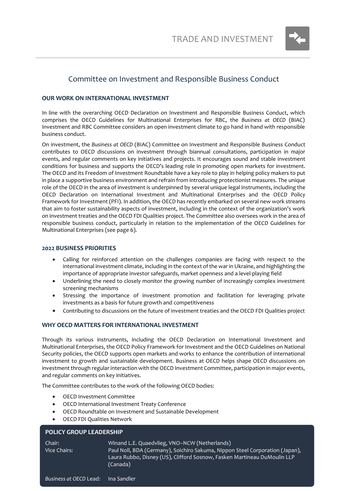

### <span id="page-28-0"></span>Committee on Investment and Responsible Business Conduct

#### **OUR WORK ON INTERNATIONAL INVESTMENT**

In line with the overarching OECD Declaration on Investment and Responsible Business Conduct, which comprises the OECD Guidelines for Multinational Enterprises for RBC, the *Business at OECD* (BIAC) Investment and RBC Committee considers an open investment climate to go hand in hand with responsible business conduct.

On investment, the *Business at OECD* (BIAC) Committee on Investment and Responsible Business Conduct contributes to OECD discussions on investment through biannual consultations, participation in major events, and regular comments on key initiatives and projects. It encourages sound and stable investment conditions for business and supports the OECD's leading role in promoting open markets for investment. The OECD and its Freedom of Investment Roundtable have a key role to play in helping policy makers to put in place a supportive business environment and refrain from introducing protectionist measures. The unique role of the OECD in the area of investment is underpinned by several unique legal instruments, including the OECD Declaration on International Investment and Multinational Enterprises and the OECD Policy Framework for Investment (PFI). In addition, the OECD has recently embarked on several new work streams that aim to foster sustainability aspects of investment, including in the context of the organization's work on investment treaties and the OECD FDI Qualities project. The Committee also oversees work in the area of responsible business conduct, particularly in relation to the implementation of the OECD Guidelines for Multinational Enterprises (see page 6).

#### **2022 BUSINESS PRIORITIES**

- Calling for reinforced attention on the challenges companies are facing with respect to the international investment climate, including in the context of the war in Ukraine, and highlighting the importance of appropriate investor safeguards, market openness and a level-playing field
- Underlining the need to closely monitor the growing number of increasingly complex investment screening mechanisms
- Stressing the importance of investment promotion and facilitation for leveraging private investments as a basis for future growth and competitiveness
- Contributing to discussions on the future of investment treaties and the OECD FDI Qualities project

#### **WHY OECD MATTERS FOR INTERNATIONAL INVESTMENT**

Through its various instruments, including the OECD Declaration on International Investment and Multinational Enterprises, the OECD Policy Framework for Investment and the OECD Guidelines on National Security policies, the OECD supports open markets and works to enhance the contribution of international investment to growth and sustainable development. Business at OECD helps shape OECD discussions on investment through regular interaction with the OECD Investment Committee, participation in major events, and regular comments on key initiatives.

The Committee contributes to the work of the following OECD bodies:

- OECD Investment Committee
- OECD International Investment Treaty Conference
- OECD Roundtable on Investment and Sustainable Development
- OECD FDI Qualities Network

#### **POLICY GROUP LEADERSHIP**

Chair: Winand L.E. Quaedvlieg, VNO–NCW (Netherlands) Vice Chairs: Paul Noll, BDA (Germany), Soichiro Sakuma, Nippon Steel Corporation (Japan), Laura Rubbo, Disney (US), Clifford Sosnow, Fasken Martineau DuMoulin LLP (Canada)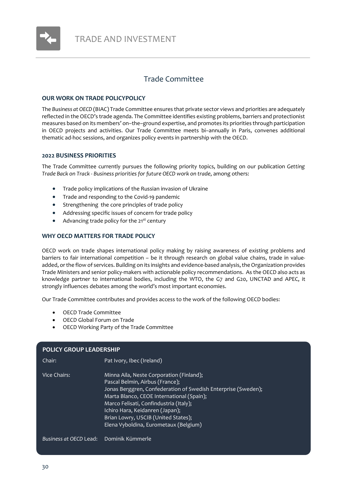

### Trade Committee

#### <span id="page-29-0"></span>**OUR WORK ON TRADE POLICYPOLICY**

The *Business at OECD* (BIAC) Trade Committee ensures that private sector views and priorities are adequately reflected in the OECD's trade agenda. The Committee identifies existing problems, barriers and protectionist measures based on its members' on–the–ground expertise, and promotes its priorities through participation in OECD projects and activities. Our Trade Committee meets bi–annually in Paris, convenes additional thematic ad-hoc sessions, and organizes policy events in partnership with the OECD.

#### **2022 BUSINESS PRIORITIES**

The Trade Committee currently pursues the following priority topics, building on our publication *Getting Trade Back on Track - Business priorities for future OECD work on trade*, among others:

- Trade policy implications of the Russian invasion of Ukraine
- Trade and responding to the Covid-19 pandemic
- Strengthening the core principles of trade policy
- Addressing specific issues of concern for trade policy
- Advancing trade policy for the 21<sup>st</sup> century

#### **WHY OECD MATTERS FOR TRADE POLICY**

OECD work on trade shapes international policy making by raising awareness of existing problems and barriers to fair international competition – be it through research on global value chains, trade in valueadded, or the flow of services. Building on its insights and evidence-based analysis, the Organization provides Trade Ministers and senior policy-makers with actionable policy recommendations. As the OECD also acts as knowledge partner to international bodies, including the WTO, the G7 and G20, UNCTAD and APEC, it strongly influences debates among the world's most important economies.

Our Trade Committee contributes and provides access to the work of the following OECD bodies:

- OECD Trade Committee
- OECD Global Forum on Trade
- OECD Working Party of the Trade Committee

| <b>POLICY GROUP LEADERSHIP</b> |                                                                                                                                                                                                                                                                                                                                                        |  |
|--------------------------------|--------------------------------------------------------------------------------------------------------------------------------------------------------------------------------------------------------------------------------------------------------------------------------------------------------------------------------------------------------|--|
|                                |                                                                                                                                                                                                                                                                                                                                                        |  |
| Chair:                         | Pat Ivory, Ibec (Ireland)                                                                                                                                                                                                                                                                                                                              |  |
| Vice Chairs:                   | Minna Aila, Neste Corporation (Finland);<br>Pascal Belmin, Airbus (France);<br>Jonas Berggren, Confederation of Swedish Enterprise (Sweden);<br>Marta Blanco, CEOE International (Spain);<br>Marco Felisati, Confindustria (Italy);<br>Ichiro Hara, Keidanren (Japan);<br>Brian Lowry, USCIB (United States);<br>Elena Vyboldina, Eurometaux (Belgium) |  |
| Business at OECD Lead:         | ' Dominik Kümmerle                                                                                                                                                                                                                                                                                                                                     |  |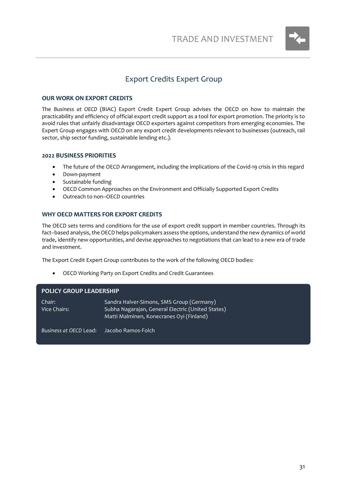

### Export Credits Expert Group

#### <span id="page-30-0"></span>**OUR WORK ON EXPORT CREDITS**

The *Business at OECD* (BIAC) Export Credit Expert Group advises the OECD on how to maintain the practicability and efficiency of official export credit support as a tool for export promotion. The priority is to avoid rules that unfairly disadvantage OECD exporters against competitors from emerging economies. The Expert Group engages with OECD on any export credit developments relevant to businesses (outreach, rail sector, ship sector funding, sustainable lending etc.).

#### **2022 BUSINESS PRIORITIES**

- The future of the OECD Arrangement, including the implications of the Covid-19 crisis in this regard
- Down-payment
- Sustainable funding
- OECD Common Approaches on the Environment and Officially Supported Export Credits
- Outreach to non–OECD countries

#### **WHY OECD MATTERS FOR EXPORT CREDITS**

The OECD sets terms and conditions for the use of export credit support in member countries. Through its fact–based analysis, the OECD helps policymakers assess the options, understand the new dynamics of world trade, identify new opportunities, and devise approaches to negotiations that can lead to a new era of trade and investment.

The Export Credit Expert Group contributes to the work of the following OECD bodies:

• OECD Working Party on Export Credits and Credit Guarantees

#### **POLICY GROUP LEADERSHIP**

| Chair:       | Sandra Halver-Simons, SMS Group (Germany)         |
|--------------|---------------------------------------------------|
| Vice Chairs: | Subha Nagarajan, General Electric (United States) |
|              | Matti Malminen, Konecranes Oyi (Finland)          |
|              |                                                   |

*Business at OECD* Lead: Jacobo Ramos-Folch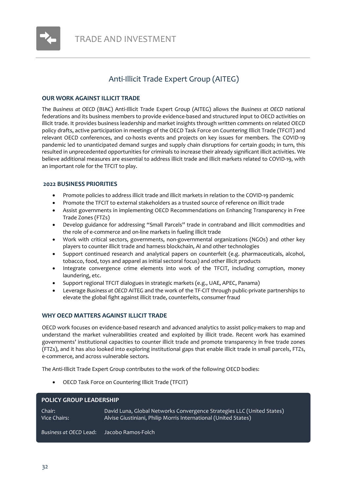

# Anti-Illicit Trade Expert Group (AITEG)

#### <span id="page-31-0"></span>**OUR WORK AGAINST ILLICIT TRADE**

The *Business at OECD* (BIAC) Anti-Illicit Trade Expert Group (AITEG) allows the *Business at OECD* national federations and its business members to provide evidence-based and structured input to OECD activities on illicit trade. It provides business leadership and market insights through written comments on related OECD policy drafts, active participation in meetings of the OECD Task Force on Countering Illicit Trade (TFCIT) and relevant OECD conferences, and co-hosts events and projects on key issues for members. The COVID-19 pandemic led to unanticipated demand surges and supply chain disruptions for certain goods; in turn, this resulted in unprecedented opportunities for criminals to increase their already significant illicit activities. We believe additional measures are essential to address illicit trade and illicit markets related to COVID-19, with an important role for the TFCIT to play.

#### **2022 BUSINESS PRIORITIES**

- Promote policies to address illicit trade and illicit markets in relation to the COVID-19 pandemic
- Promote the TFCIT to external stakeholders as a trusted source of reference on illicit trade
- Assist governments in implementing OECD Recommendations on Enhancing Transparency in Free Trade Zones (FTZs)
- Develop guidance for addressing "Small Parcels" trade in contraband and illicit commodities and the role of e-commerce and on-line markets in fueling illicit trade
- Work with critical sectors, governments, non-governmental organizations (NGOs) and other key players to counter illicit trade and harness blockchain, AI and other technologies
- Support continued research and analytical papers on counterfeit (e.g. pharmaceuticals, alcohol, tobacco, food, toys and apparel as initial sectoral focus) and other illicit products
- Integrate convergence crime elements into work of the TFCIT, including corruption, money laundering, etc.
- Support regional TFCIT dialogues in strategic markets (e.g., UAE, APEC, Panama)
- Leverage *Business at OECD* AITEG and the work of the TF-CIT through public-private partnerships to elevate the global fight against illicit trade, counterfeits, consumer fraud

#### **WHY OECD MATTERS AGAINST ILLICIT TRADE**

OECD work focuses on evidence-based research and advanced analytics to assist policy-makers to map and understand the market vulnerabilities created and exploited by illicit trade. Recent work has examined governments' institutional capacities to counter illicit trade and promote transparency in free trade zones (FTZs), and it has also looked into exploring institutional gaps that enable illicit trade in small parcels, FTZs, e-commerce, and across vulnerable sectors.

The Anti-Illicit Trade Expert Group contributes to the work of the following OECD bodies:

• OECD Task Force on Countering Illicit Trade (TFCIT)

| <b>POLICY GROUP LEADERSHIP</b> |                                                                                                                                           |  |
|--------------------------------|-------------------------------------------------------------------------------------------------------------------------------------------|--|
| Chair:<br>Vice Chairs:         | David Luna, Global Networks Convergence Strategies LLC (United States)<br>Alvise Giustiniani, Philip Morris International (United States) |  |
| Business at OECD Lead:         | Jacobo Ramos-Folch                                                                                                                        |  |